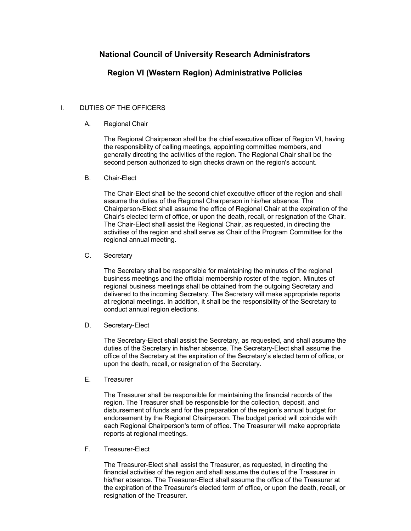# **National Council of University Research Administrators**

# **Region VI (Western Region) Administrative Policies**

## I. DUTIES OF THE OFFICERS

### A. Regional Chair

The Regional Chairperson shall be the chief executive officer of Region VI, having the responsibility of calling meetings, appointing committee members, and generally directing the activities of the region. The Regional Chair shall be the second person authorized to sign checks drawn on the region's account.

#### B. Chair-Elect

The Chair-Elect shall be the second chief executive officer of the region and shall assume the duties of the Regional Chairperson in his/her absence. The Chairperson-Elect shall assume the office of Regional Chair at the expiration of the Chair's elected term of office, or upon the death, recall, or resignation of the Chair. The Chair-Elect shall assist the Regional Chair, as requested, in directing the activities of the region and shall serve as Chair of the Program Committee for the regional annual meeting.

## C. Secretary

The Secretary shall be responsible for maintaining the minutes of the regional business meetings and the official membership roster of the region. Minutes of regional business meetings shall be obtained from the outgoing Secretary and delivered to the incoming Secretary. The Secretary will make appropriate reports at regional meetings. In addition, it shall be the responsibility of the Secretary to conduct annual region elections.

#### D. Secretary-Elect

The Secretary-Elect shall assist the Secretary, as requested, and shall assume the duties of the Secretary in his/her absence. The Secretary-Elect shall assume the office of the Secretary at the expiration of the Secretary's elected term of office, or upon the death, recall, or resignation of the Secretary.

#### E. Treasurer

The Treasurer shall be responsible for maintaining the financial records of the region. The Treasurer shall be responsible for the collection, deposit, and disbursement of funds and for the preparation of the region's annual budget for endorsement by the Regional Chairperson. The budget period will coincide with each Regional Chairperson's term of office. The Treasurer will make appropriate reports at regional meetings.

#### F. Treasurer-Elect

The Treasurer-Elect shall assist the Treasurer, as requested, in directing the financial activities of the region and shall assume the duties of the Treasurer in his/her absence. The Treasurer-Elect shall assume the office of the Treasurer at the expiration of the Treasurer's elected term of office, or upon the death, recall, or resignation of the Treasurer.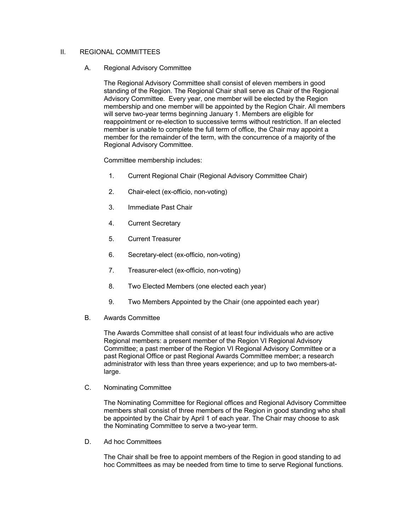### II. REGIONAL COMMITTEES

#### A. Regional Advisory Committee

The Regional Advisory Committee shall consist of eleven members in good standing of the Region. The Regional Chair shall serve as Chair of the Regional Advisory Committee. Every year, one member will be elected by the Region membership and one member will be appointed by the Region Chair. All members will serve two-year terms beginning January 1. Members are eligible for reappointment or re-election to successive terms without restriction. If an elected member is unable to complete the full term of office, the Chair may appoint a member for the remainder of the term, with the concurrence of a majority of the Regional Advisory Committee.

Committee membership includes:

- 1. Current Regional Chair (Regional Advisory Committee Chair)
- 2. Chair-elect (ex-officio, non-voting)
- 3. Immediate Past Chair
- 4. Current Secretary
- 5. Current Treasurer
- 6. Secretary-elect (ex-officio, non-voting)
- 7. Treasurer-elect (ex-officio, non-voting)
- 8. Two Elected Members (one elected each year)
- 9. Two Members Appointed by the Chair (one appointed each year)
- B. Awards Committee

The Awards Committee shall consist of at least four individuals who are active Regional members: a present member of the Region VI Regional Advisory Committee; a past member of the Region VI Regional Advisory Committee or a past Regional Office or past Regional Awards Committee member; a research administrator with less than three years experience; and up to two members-atlarge.

C. Nominating Committee

The Nominating Committee for Regional offices and Regional Advisory Committee members shall consist of three members of the Region in good standing who shall be appointed by the Chair by April 1 of each year. The Chair may choose to ask the Nominating Committee to serve a two-year term.

D. Ad hoc Committees

The Chair shall be free to appoint members of the Region in good standing to ad hoc Committees as may be needed from time to time to serve Regional functions.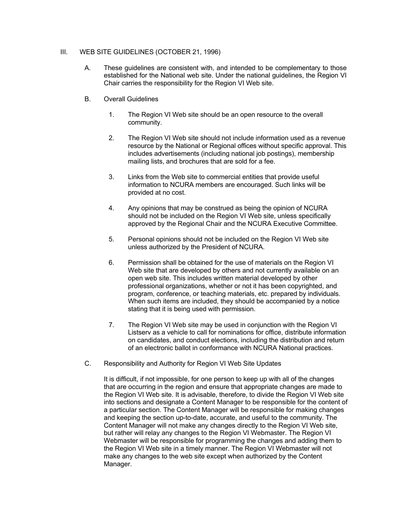## III. WEB SITE GUIDELINES (OCTOBER 21, 1996)

- A. These guidelines are consistent with, and intended to be complementary to those established for the National web site. Under the national guidelines, the Region VI Chair carries the responsibility for the Region VI Web site.
- B. Overall Guidelines
	- 1. The Region VI Web site should be an open resource to the overall community.
	- 2. The Region VI Web site should not include information used as a revenue resource by the National or Regional offices without specific approval. This includes advertisements (including national job postings), membership mailing lists, and brochures that are sold for a fee.
	- 3. Links from the Web site to commercial entities that provide useful information to NCURA members are encouraged. Such links will be provided at no cost.
	- 4. Any opinions that may be construed as being the opinion of NCURA should not be included on the Region VI Web site, unless specifically approved by the Regional Chair and the NCURA Executive Committee.
	- 5. Personal opinions should not be included on the Region VI Web site unless authorized by the President of NCURA.
	- 6. Permission shall be obtained for the use of materials on the Region VI Web site that are developed by others and not currently available on an open web site. This includes written material developed by other professional organizations, whether or not it has been copyrighted, and program, conference, or teaching materials, etc. prepared by individuals. When such items are included, they should be accompanied by a notice stating that it is being used with permission.
	- 7. The Region VI Web site may be used in conjunction with the Region VI Listserv as a vehicle to call for nominations for office, distribute information on candidates, and conduct elections, including the distribution and return of an electronic ballot in conformance with NCURA National practices.
- C. Responsibility and Authority for Region VI Web Site Updates

It is difficult, if not impossible, for one person to keep up with all of the changes that are occurring in the region and ensure that appropriate changes are made to the Region VI Web site. It is advisable, therefore, to divide the Region VI Web site into sections and designate a Content Manager to be responsible for the content of a particular section. The Content Manager will be responsible for making changes and keeping the section up-to-date, accurate, and useful to the community. The Content Manager will not make any changes directly to the Region VI Web site, but rather will relay any changes to the Region VI Webmaster. The Region VI Webmaster will be responsible for programming the changes and adding them to the Region VI Web site in a timely manner. The Region VI Webmaster will not make any changes to the web site except when authorized by the Content Manager.